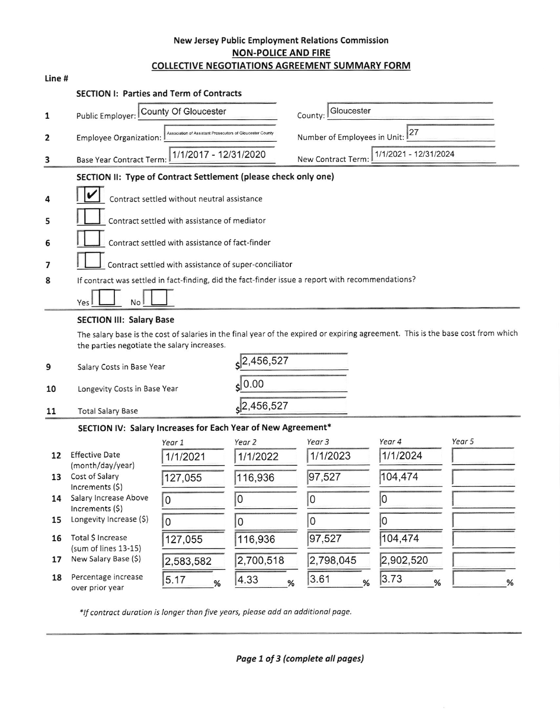## New Jersey Public Employment Relations Commission **NON-POLICE AND FIRE COLLECTIVE NEGOTIATIONS AGREEMENT SUMMARY FORM**

| ٠<br>×<br>۰<br>٠ | × |
|------------------|---|
|------------------|---|

| <b>SECTION I: Parties and Term of Contracts</b> |  |
|-------------------------------------------------|--|
|-------------------------------------------------|--|

|                | County Of Gloucester                                                                              | Gloucester                                                                                                                     |
|----------------|---------------------------------------------------------------------------------------------------|--------------------------------------------------------------------------------------------------------------------------------|
| 1              | Public Employer:                                                                                  | County:                                                                                                                        |
| $\overline{2}$ | Association of Assistant Prosecutors of Gloucester Count<br><b>Employee Organization:</b>         | 27<br>Number of Employees in Unit:                                                                                             |
| 3              | 1/1/2017 - 12/31/2020<br><b>Base Year Contract Term:</b>                                          | 1/1/2021 - 12/31/2024<br>New Contract Term:                                                                                    |
|                | SECTION II: Type of Contract Settlement (please check only one)                                   |                                                                                                                                |
| 4              | Contract settled without neutral assistance                                                       |                                                                                                                                |
| 5              | Contract settled with assistance of mediator                                                      |                                                                                                                                |
| 6              | Contract settled with assistance of fact-finder                                                   |                                                                                                                                |
| 7              | Contract settled with assistance of super-conciliator                                             |                                                                                                                                |
| 8              | If contract was settled in fact-finding, did the fact-finder issue a report with recommendations? |                                                                                                                                |
|                | Yes<br>N <sub>o</sub>                                                                             |                                                                                                                                |
|                | <b>SECTION III: Salary Base</b>                                                                   |                                                                                                                                |
|                |                                                                                                   | The seleculose is the sect of selectos in the final way of the evoired or evoiring agreement. This is the base cost from which |

The salary base is the cost of salaries in the final year of the expired or expiring agreement. This is the base cost from which the parties negotiate the salary increases.

| 9<br>Salary Costs in Base Year<br>10<br>Longevity Costs in Base Year |  | 2,456,527                |  |
|----------------------------------------------------------------------|--|--------------------------|--|
|                                                                      |  | 60.00                    |  |
| <b>Total Salary Base</b>                                             |  | $\left 2,456,527\right $ |  |

## SECTION IV: Salary Increases for Each Year of New Agreement\*

|    |                                           | Year 1    | Year 2    | Year 3    | Year 4    | Year 5 |
|----|-------------------------------------------|-----------|-----------|-----------|-----------|--------|
| 12 | <b>Effective Date</b><br>(month/day/year) | 1/1/2021  | 1/1/2022  | 1/1/2023  | 1/1/2024  |        |
| 13 | Cost of Salary<br>Increments (\$)         | 127,055   | 116,936   | 97,527    | 104,474   |        |
| 14 | Salary Increase Above<br>Increments $(5)$ | 0         | 0         | 0         |           |        |
| 15 | Longevity Increase (\$)                   | O         | 0         | 0         |           |        |
| 16 | Total \$ Increase<br>(sum of lines 13-15) | 127,055   | 116,936   | 97,527    | 104,474   |        |
| 17 | New Salary Base (\$)                      | 2,583,582 | 2,700,518 | 2,798,045 | 2,902,520 |        |
| 18 | Percentage increase<br>over prior year    | 5.17<br>% | 4.33<br>% | 3.61<br>% | 3.73<br>% | %      |

\*If contract duration is longer than five years, please add an additional page.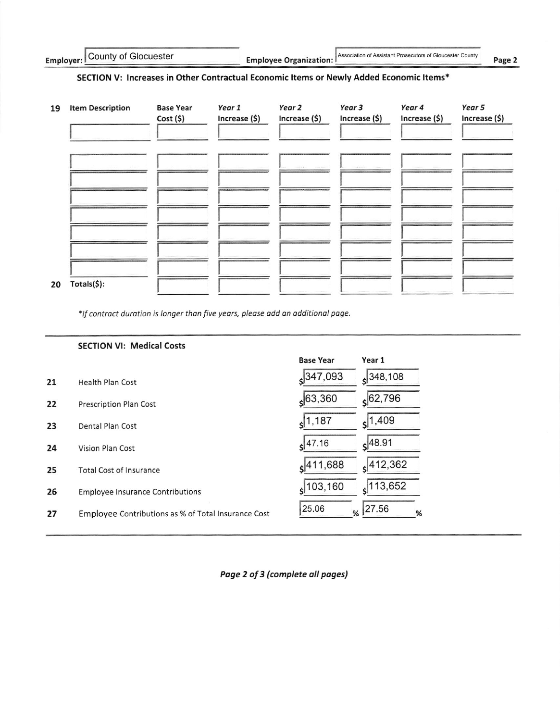**Employee Organization:** 

Association of Assistant Prosecutors of Gloucester County

Page 2

# SECTION V: Increases in Other Contractual Economic Items or Newly Added Economic Items\*

| 19 | <b>Item Description</b> | <b>Base Year</b><br>Cost(5) | Year 1<br>Increase (\$) | Year 2<br>Increase (\$) | Year 3<br>Increase (\$) | Year 4<br>Increase (\$) | Year 5<br>Increase (\$) |
|----|-------------------------|-----------------------------|-------------------------|-------------------------|-------------------------|-------------------------|-------------------------|
|    |                         |                             |                         |                         |                         |                         |                         |
|    |                         |                             |                         |                         |                         |                         |                         |
|    |                         |                             |                         |                         |                         |                         |                         |
|    |                         |                             |                         |                         |                         |                         |                         |
| 20 | Totals(\$):             |                             |                         |                         |                         |                         |                         |

\*If contract duration is longer than five years, please add an additional page.

|    | <b>SECTION VI: Medical Costs</b>                    |                        |                        |
|----|-----------------------------------------------------|------------------------|------------------------|
|    |                                                     | <b>Base Year</b>       | Year 1                 |
| 21 | <b>Health Plan Cost</b>                             | $s^{347,093}$          | $s^{348,108}$          |
| 22 | Prescription Plan Cost                              | $s$ 63,360             | 62,796                 |
| 23 | Dental Plan Cost                                    | $s$ <sup>1,187</sup>   | $s$ <sup>1,409</sup>   |
| 24 | Vision Plan Cost                                    | $s$ 47.16              | $s$ <sup>48.91</sup>   |
| 25 | Total Cost of Insurance                             | 411,688                | $s$ <sup>412,362</sup> |
| 26 | <b>Employee Insurance Contributions</b>             | $s$ <sup>103,160</sup> | 113,652<br>¢           |
| 27 | Employee Contributions as % of Total Insurance Cost | 25.06<br>%             | 27.56<br>%             |

Page 2 of 3 (complete all pages)